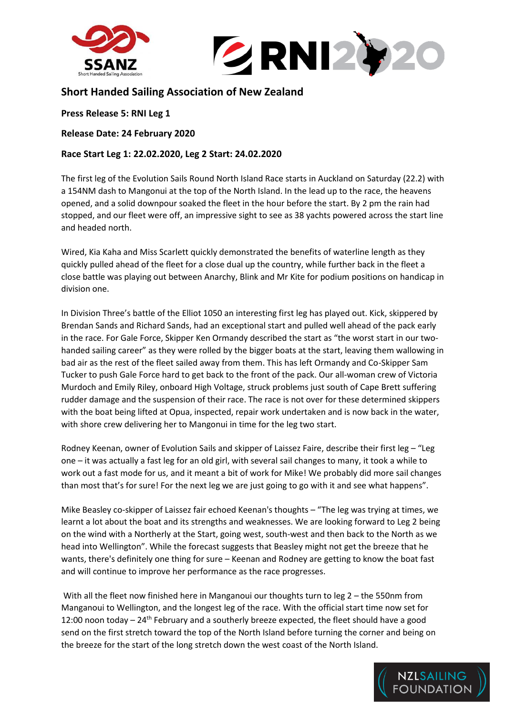



## **Short Handed Sailing Association of New Zealand**

**Press Release 5: RNI Leg 1**

**Release Date: 24 February 2020**

## **Race Start Leg 1: 22.02.2020, Leg 2 Start: 24.02.2020**

The first leg of the Evolution Sails Round North Island Race starts in Auckland on Saturday (22.2) with a 154NM dash to Mangonui at the top of the North Island. In the lead up to the race, the heavens opened, and a solid downpour soaked the fleet in the hour before the start. By 2 pm the rain had stopped, and our fleet were off, an impressive sight to see as 38 yachts powered across the start line and headed north.

Wired, Kia Kaha and Miss Scarlett quickly demonstrated the benefits of waterline length as they quickly pulled ahead of the fleet for a close dual up the country, while further back in the fleet a close battle was playing out between Anarchy, Blink and Mr Kite for podium positions on handicap in division one.

In Division Three's battle of the Elliot 1050 an interesting first leg has played out. Kick, skippered by Brendan Sands and Richard Sands, had an exceptional start and pulled well ahead of the pack early in the race. For Gale Force, Skipper Ken Ormandy described the start as "the worst start in our twohanded sailing career" as they were rolled by the bigger boats at the start, leaving them wallowing in bad air as the rest of the fleet sailed away from them. This has left Ormandy and Co-Skipper Sam Tucker to push Gale Force hard to get back to the front of the pack. Our all-woman crew of Victoria Murdoch and Emily Riley, onboard High Voltage, struck problems just south of Cape Brett suffering rudder damage and the suspension of their race. The race is not over for these determined skippers with the boat being lifted at Opua, inspected, repair work undertaken and is now back in the water, with shore crew delivering her to Mangonui in time for the leg two start.

Rodney Keenan, owner of Evolution Sails and skipper of Laissez Faire, describe their first leg – "Leg one – it was actually a fast leg for an old girl, with several sail changes to many, it took a while to work out a fast mode for us, and it meant a bit of work for Mike! We probably did more sail changes than most that's for sure! For the next leg we are just going to go with it and see what happens".

Mike Beasley co-skipper of Laissez fair echoed Keenan's thoughts – "The leg was trying at times, we learnt a lot about the boat and its strengths and weaknesses. We are looking forward to Leg 2 being on the wind with a Northerly at the Start, going west, south-west and then back to the North as we head into Wellington". While the forecast suggests that Beasley might not get the breeze that he wants, there's definitely one thing for sure – Keenan and Rodney are getting to know the boat fast and will continue to improve her performance as the race progresses.

With all the fleet now finished here in Manganoui our thoughts turn to leg 2 – the 550nm from Manganoui to Wellington, and the longest leg of the race. With the official start time now set for 12:00 noon today - 24<sup>th</sup> February and a southerly breeze expected, the fleet should have a good send on the first stretch toward the top of the North Island before turning the corner and being on the breeze for the start of the long stretch down the west coast of the North Island.